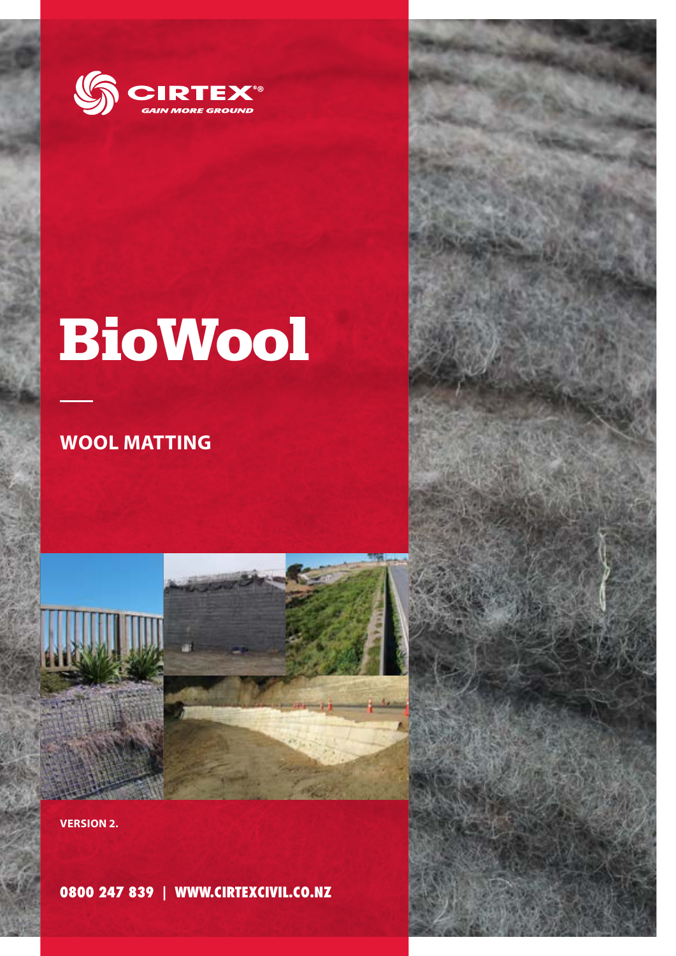

## **BioWool**

## **WOOL MATTING**



**0800 247 839 | WWW.CIRTEXCIVIL.CO.NZ**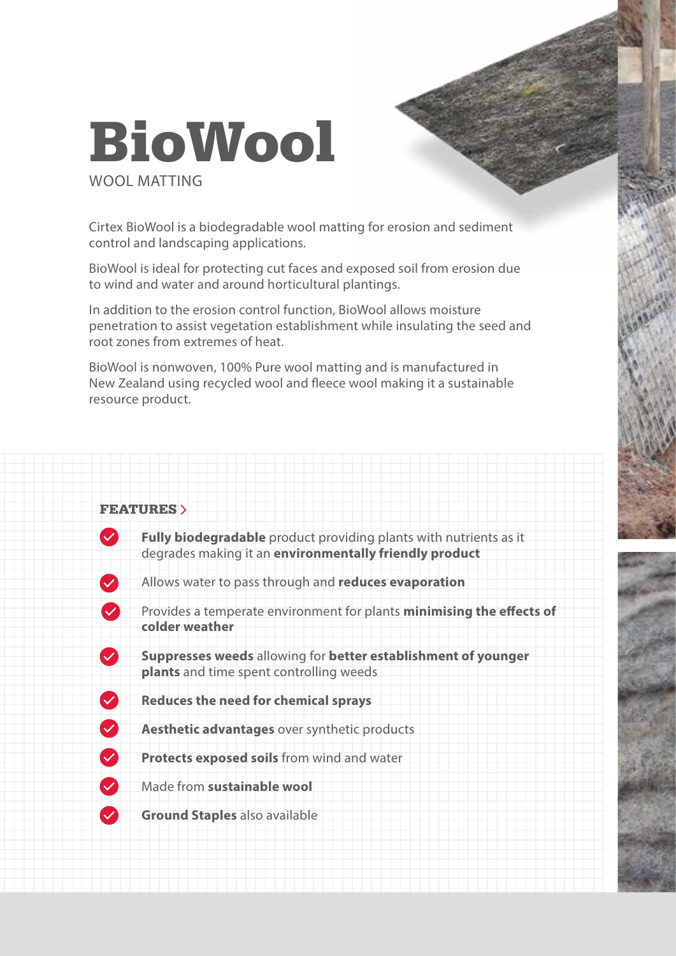## **BioWool** WOOL MATTING

Cirtex BioWool is a biodegradable wool matting for erosion and sediment control and landscaping applications.

BioWool is ideal for protecting cut faces and exposed soil from erosion due to wind and water and around horticultural plantings.

In addition to the erosion control function, BioWool allows moisture penetration to assist vegetation establishment while insulating the seed and root zones from extremes of heat.

BioWool is nonwoven, 100% Pure wool matting and is manufactured in New Zealand using recycled wool and fleece wool making it a sustainable resource product.

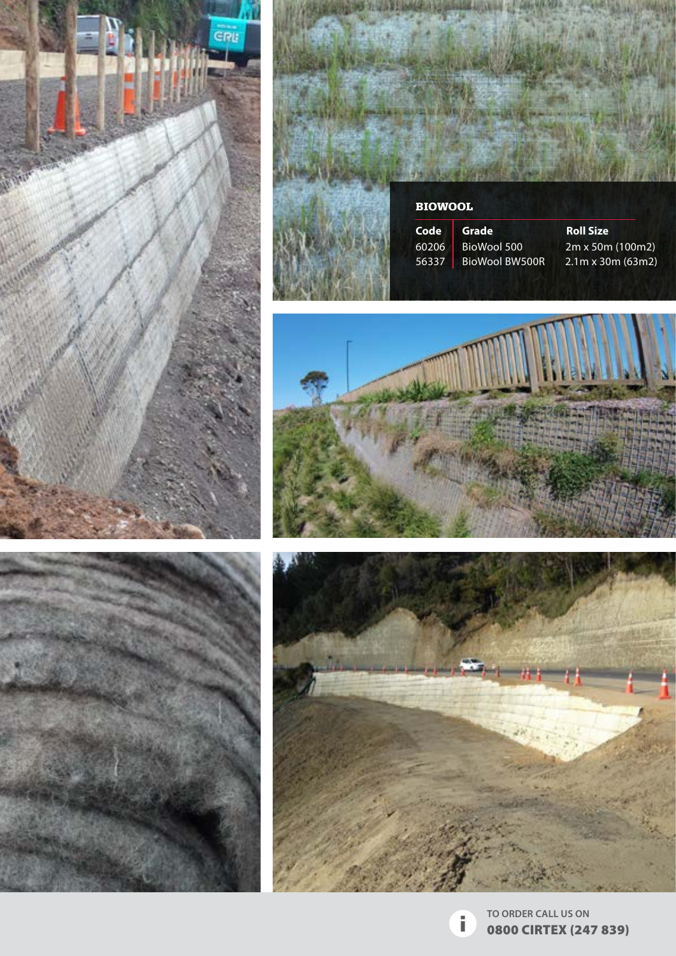









ï